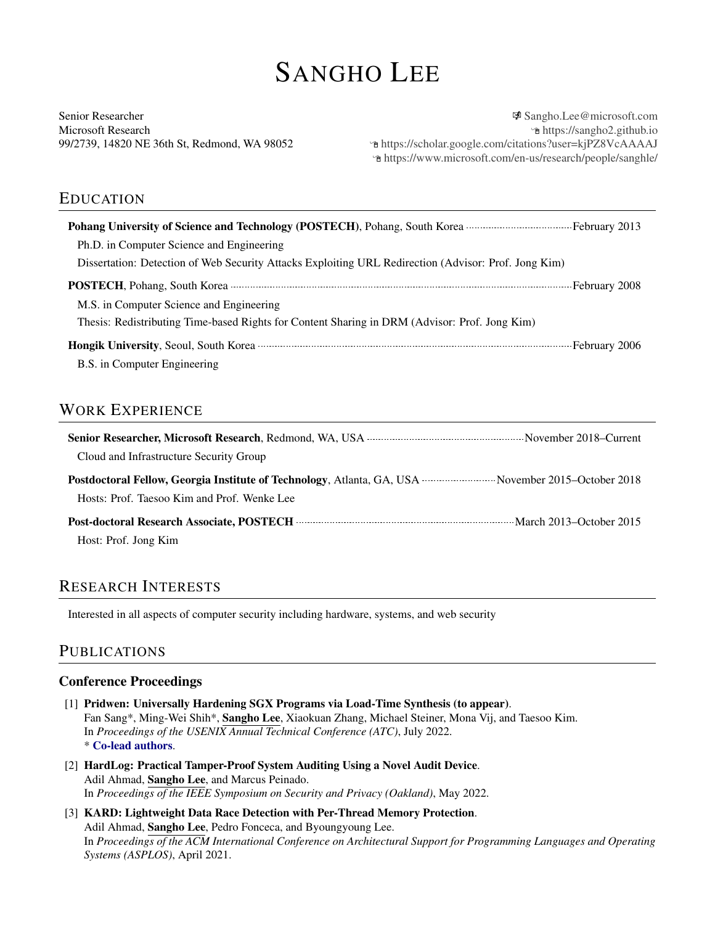# SANGHO LEE

Senior Researcher Microsoft Research 99/2739, 14820 NE 36th St, Redmond, WA 98052

图 [Sangho.Lee@microsoft.com](mailto:Sangho.Lee@microsoft.com) Í <https://sangho2.github.io> Í <https://scholar.google.com/citations?user=kjPZ8VcAAAAJ> Í <https://www.microsoft.com/en-us/research/people/sanghle/>

## EDUCATION

| Pohang University of Science and Technology (POSTECH), Pohang, South Korea <b>Electron Science 2013</b>                                                                                                                              |
|--------------------------------------------------------------------------------------------------------------------------------------------------------------------------------------------------------------------------------------|
| Ph.D. in Computer Science and Engineering                                                                                                                                                                                            |
| Dissertation: Detection of Web Security Attacks Exploiting URL Redirection (Advisor: Prof. Jong Kim)                                                                                                                                 |
| POSTECH, Pohang, South Korea <b>William Street Contract Contract Contract Contract Contract Contract Contract Contract Contract Contract Contract Contract Contract Contract Contract Contract Contract Contract Contract Contra</b> |
| M.S. in Computer Science and Engineering                                                                                                                                                                                             |
| Thesis: Redistributing Time-based Rights for Content Sharing in DRM (Advisor: Prof. Jong Kim)                                                                                                                                        |
| <b>Hongik University, Seoul, South Korea Example 2006</b> and the set of the set of the set of the September 2006 and the set of the September 2006                                                                                  |
| B.S. in Computer Engineering                                                                                                                                                                                                         |

# WORK EXPERIENCE

| Cloud and Infrastructure Security Group                                                                                                                   |  |
|-----------------------------------------------------------------------------------------------------------------------------------------------------------|--|
| <b>Postdoctoral Fellow, Georgia Institute of Technology</b> , Atlanta, GA, USA  November 2015–October 2018<br>Hosts: Prof. Taesoo Kim and Prof. Wenke Lee |  |
| Post-doctoral Research Associate, POSTECH <b>Material Accords</b> Material March 2013–October 2015                                                        |  |
| Host: Prof. Jong Kim                                                                                                                                      |  |

# RESEARCH INTERESTS

Interested in all aspects of computer security including hardware, systems, and web security

## PUBLICATIONS

#### Conference Proceedings

- [1] Pridwen: Universally Hardening SGX Programs via Load-Time Synthesis (to appear). Fan Sang\*, Ming-Wei Shih\*, Sangho Lee, Xiaokuan Zhang, Michael Steiner, Mona Vij, and Taesoo Kim. In *Proceedings of the USENIX Annual Technical Conference (ATC)*, July 2022. \* Co-lead authors.
- [2] HardLog: Practical Tamper-Proof System Auditing Using a Novel Audit Device. Adil Ahmad, Sangho Lee, and Marcus Peinado. In *Proceedings of the IEEE Symposium on Security and Privacy (Oakland)*, May 2022.
- [3] KARD: Lightweight Data Race Detection with Per-Thread Memory Protection. Adil Ahmad, Sangho Lee, Pedro Fonceca, and Byoungyoung Lee. In *Proceedings of the ACM International Conference on Architectural Support for Programming Languages and Operating Systems (ASPLOS)*, April 2021.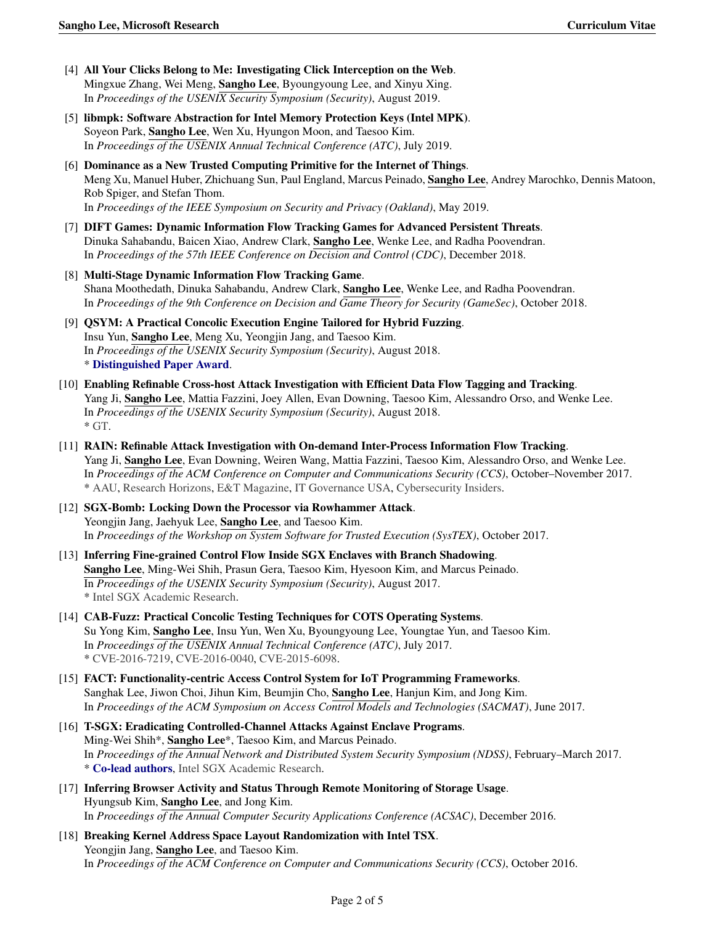- [4] All Your Clicks Belong to Me: Investigating Click Interception on the Web. Mingxue Zhang, Wei Meng, Sangho Lee, Byoungyoung Lee, and Xinyu Xing. In *Proceedings of the USENIX Security Symposium (Security)*, August 2019.
- [5] libmpk: Software Abstraction for Intel Memory Protection Keys (Intel MPK). Soyeon Park, Sangho Lee, Wen Xu, Hyungon Moon, and Taesoo Kim. In *Proceedings of the USENIX Annual Technical Conference (ATC)*, July 2019.
- [6] Dominance as a New Trusted Computing Primitive for the Internet of Things. Meng Xu, Manuel Huber, Zhichuang Sun, Paul England, Marcus Peinado, Sangho Lee, Andrey Marochko, Dennis Matoon, Rob Spiger, and Stefan Thom. In *Proceedings of the IEEE Symposium on Security and Privacy (Oakland)*, May 2019.
- [7] DIFT Games: Dynamic Information Flow Tracking Games for Advanced Persistent Threats. Dinuka Sahabandu, Baicen Xiao, Andrew Clark, Sangho Lee, Wenke Lee, and Radha Poovendran. In *Proceedings of the 57th IEEE Conference on Decision and Control (CDC)*, December 2018.
- [8] Multi-Stage Dynamic Information Flow Tracking Game. Shana Moothedath, Dinuka Sahabandu, Andrew Clark, Sangho Lee, Wenke Lee, and Radha Poovendran. In *Proceedings of the 9th Conference on Decision and Game Theory for Security (GameSec)*, October 2018.
- [9] QSYM: A Practical Concolic Execution Engine Tailored for Hybrid Fuzzing. Insu Yun, Sangho Lee, Meng Xu, Yeongjin Jang, and Taesoo Kim. In *Proceedings of the USENIX Security Symposium (Security)*, August 2018. \* Distinguished Paper Award.
- [10] Enabling Refinable Cross-host Attack Investigation with Efficient Data Flow Tagging and Tracking. Yang Ji, Sangho Lee, Mattia Fazzini, Joey Allen, Evan Downing, Taesoo Kim, Alessandro Orso, and Wenke Lee. In *Proceedings of the USENIX Security Symposium (Security)*, August 2018.  $*$  [GT.](https://www.scs.gatech.edu/news/610376/school-computer-science-researchers-make-investigating-multi-host-attacks-easier)
- [11] RAIN: Refinable Attack Investigation with On-demand Inter-Process Information Flow Tracking. Yang Ji, Sangho Lee, Evan Downing, Weiren Wang, Mattia Fazzini, Taesoo Kim, Alessandro Orso, and Wenke Lee. In *Proceedings of the ACM Conference on Computer and Communications Security (CCS)*, October–November 2017. \* [AAU,](https://www.aau.edu/research-scholarship/featured-research-topics/instant-replay-computer-systems-shows-cyber-attack) [Research Horizons,](http://www.rh.gatech.edu/news/598030/instant-replay-computer-systems-shows-cyber-attack-details) [E&T Magazine,](https://eandt.theiet.org/content/articles/2017/10/cyber-attacks-detailed-minute-by-minute-with-rain-monitoring-system/) [IT Governance USA,](https://www.itgovernanceusa.com/blog/new-technology-will-allow-automated-analysis-and-reporting-of-cyber-attacks/) [Cybersecurity Insiders.](https://www.cybersecurity-insiders.com/researchers-develop-software-to-make-an-instant-analysis-of-a-cyber-attack/)
- [12] SGX-Bomb: Locking Down the Processor via Rowhammer Attack. Yeongjin Jang, Jaehyuk Lee, Sangho Lee, and Taesoo Kim. In *Proceedings of the Workshop on System Software for Trusted Execution (SysTEX)*, October 2017.
- [13] Inferring Fine-grained Control Flow Inside SGX Enclaves with Branch Shadowing. Sangho Lee, Ming-Wei Shih, Prasun Gera, Taesoo Kim, Hyesoon Kim, and Marcus Peinado. In *Proceedings of the USENIX Security Symposium (Security)*, August 2017. \* [Intel SGX Academic Research.](https://software.intel.com/en-us/sgx/academic-research)
- [14] CAB-Fuzz: Practical Concolic Testing Techniques for COTS Operating Systems. Su Yong Kim, Sangho Lee, Insu Yun, Wen Xu, Byoungyoung Lee, Youngtae Yun, and Taesoo Kim. In *Proceedings of the USENIX Annual Technical Conference (ATC)*, July 2017. \* [CVE-2016-7219,](http://www.cve.mitre.org/cgi-bin/cvename.cgi?name=CVE-2016-7219) [CVE-2016-0040,](http://www.cve.mitre.org/cgi-bin/cvename.cgi?name=CVE-2016-0040) [CVE-2015-6098.](http://www.cve.mitre.org/cgi-bin/cvename.cgi?name=CVE-2015-6098)
- [15] FACT: Functionality-centric Access Control System for IoT Programming Frameworks. Sanghak Lee, Jiwon Choi, Jihun Kim, Beumjin Cho, Sangho Lee, Hanjun Kim, and Jong Kim. In *Proceedings of the ACM Symposium on Access Control Models and Technologies (SACMAT)*, June 2017.
- [16] T-SGX: Eradicating Controlled-Channel Attacks Against Enclave Programs. Ming-Wei Shih\*, Sangho Lee\*, Taesoo Kim, and Marcus Peinado. In *Proceedings of the Annual Network and Distributed System Security Symposium (NDSS)*, February–March 2017. \* Co-lead authors, [Intel SGX Academic Research.](https://software.intel.com/en-us/sgx/academic-research)
- [17] Inferring Browser Activity and Status Through Remote Monitoring of Storage Usage. Hyungsub Kim, Sangho Lee, and Jong Kim. In *Proceedings of the Annual Computer Security Applications Conference (ACSAC)*, December 2016.
- [18] Breaking Kernel Address Space Layout Randomization with Intel TSX. Yeongjin Jang, Sangho Lee, and Taesoo Kim. In *Proceedings of the ACM Conference on Computer and Communications Security (CCS)*, October 2016.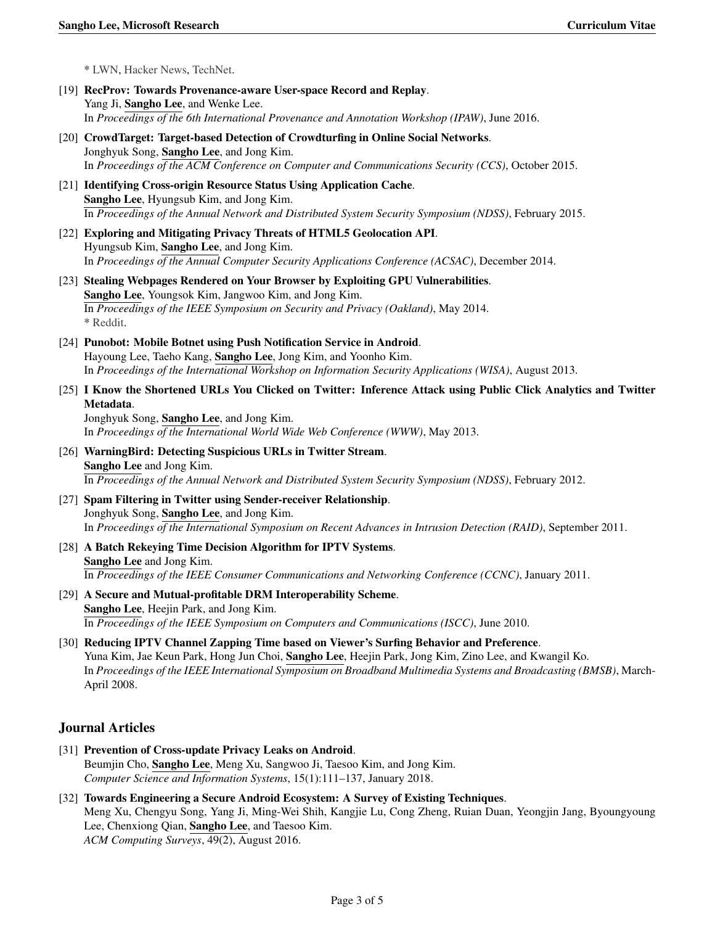\* [LWN,](https://lwn.net/Articles/704735/) [Hacker News,](https://news.ycombinator.com/item?id=12796199) [TechNet.](https://technet.microsoft.com/en-us/mt767986.aspx)

- [19] RecProv: Towards Provenance-aware User-space Record and Replay. Yang Ji, Sangho Lee, and Wenke Lee. In *Proceedings of the 6th International Provenance and Annotation Workshop (IPAW)*, June 2016.
- [20] CrowdTarget: Target-based Detection of Crowdturfing in Online Social Networks. Jonghyuk Song, Sangho Lee, and Jong Kim. In *Proceedings of the ACM Conference on Computer and Communications Security (CCS)*, October 2015.
- [21] Identifying Cross-origin Resource Status Using Application Cache. Sangho Lee, Hyungsub Kim, and Jong Kim. In *Proceedings of the Annual Network and Distributed System Security Symposium (NDSS)*, February 2015.
- [22] Exploring and Mitigating Privacy Threats of HTML5 Geolocation API. Hyungsub Kim, Sangho Lee, and Jong Kim. In *Proceedings of the Annual Computer Security Applications Conference (ACSAC)*, December 2014.
- [23] Stealing Webpages Rendered on Your Browser by Exploiting GPU Vulnerabilities. Sangho Lee, Youngsok Kim, Jangwoo Kim, and Jong Kim. In *Proceedings of the IEEE Symposium on Security and Privacy (Oakland)*, May 2014. \* [Reddit.](https://www.reddit.com/r/netsec/comments/26uvit/stealing_webpages_rendered_on_your_browser_by/)
- [24] Punobot: Mobile Botnet using Push Notification Service in Android. Hayoung Lee, Taeho Kang, Sangho Lee, Jong Kim, and Yoonho Kim. In *Proceedings of the International Workshop on Information Security Applications (WISA)*, August 2013.
- [25] I Know the Shortened URLs You Clicked on Twitter: Inference Attack using Public Click Analytics and Twitter Metadata.

Jonghyuk Song, Sangho Lee, and Jong Kim. In *Proceedings of the International World Wide Web Conference (WWW)*, May 2013.

- [26] WarningBird: Detecting Suspicious URLs in Twitter Stream. Sangho Lee and Jong Kim. In *Proceedings of the Annual Network and Distributed System Security Symposium (NDSS)*, February 2012.
- [27] Spam Filtering in Twitter using Sender-receiver Relationship. Jonghyuk Song, Sangho Lee, and Jong Kim. In *Proceedings of the International Symposium on Recent Advances in Intrusion Detection (RAID)*, September 2011.
- [28] A Batch Rekeying Time Decision Algorithm for IPTV Systems. Sangho Lee and Jong Kim. In *Proceedings of the IEEE Consumer Communications and Networking Conference (CCNC)*, January 2011.
- [29] A Secure and Mutual-profitable DRM Interoperability Scheme. Sangho Lee, Heejin Park, and Jong Kim. In *Proceedings of the IEEE Symposium on Computers and Communications (ISCC)*, June 2010.
- [30] Reducing IPTV Channel Zapping Time based on Viewer's Surfing Behavior and Preference. Yuna Kim, Jae Keun Park, Hong Jun Choi, Sangho Lee, Heejin Park, Jong Kim, Zino Lee, and Kwangil Ko. In *Proceedings of the IEEE International Symposium on Broadband Multimedia Systems and Broadcasting (BMSB)*, March-April 2008.

#### Journal Articles

- [31] Prevention of Cross-update Privacy Leaks on Android. Beumjin Cho, Sangho Lee, Meng Xu, Sangwoo Ji, Taesoo Kim, and Jong Kim. *Computer Science and Information Systems*, 15(1):111–137, January 2018.
- [32] Towards Engineering a Secure Android Ecosystem: A Survey of Existing Techniques. Meng Xu, Chengyu Song, Yang Ji, Ming-Wei Shih, Kangjie Lu, Cong Zheng, Ruian Duan, Yeongjin Jang, Byoungyoung Lee, Chenxiong Qian, Sangho Lee, and Taesoo Kim. *ACM Computing Surveys*, 49(2), August 2016.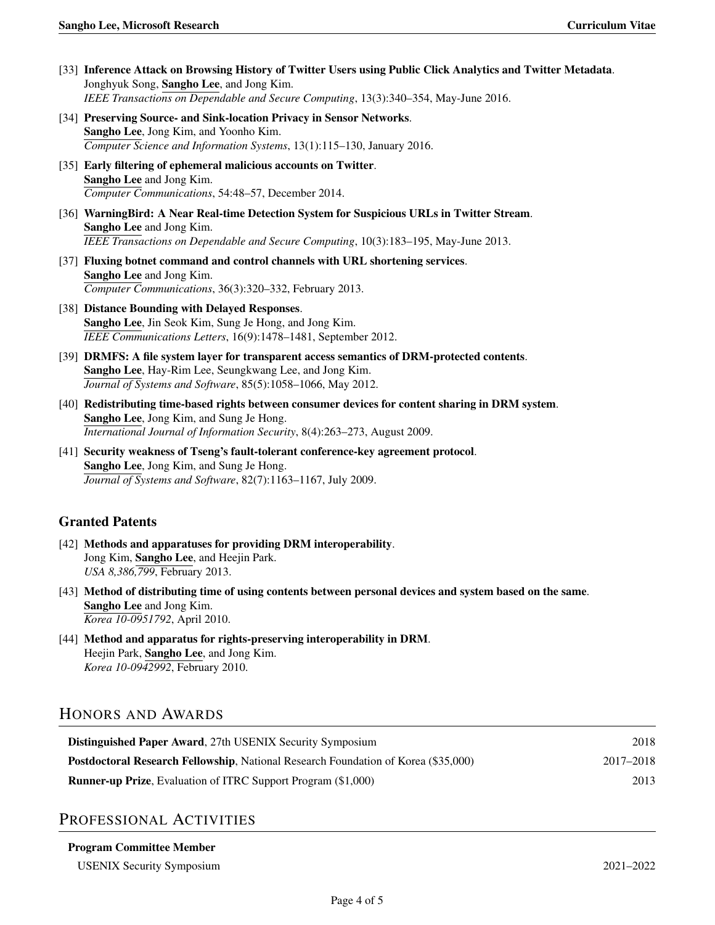- [33] Inference Attack on Browsing History of Twitter Users using Public Click Analytics and Twitter Metadata. Jonghyuk Song, Sangho Lee, and Jong Kim. *IEEE Transactions on Dependable and Secure Computing*, 13(3):340–354, May-June 2016.
- [34] Preserving Source- and Sink-location Privacy in Sensor Networks. Sangho Lee, Jong Kim, and Yoonho Kim. *Computer Science and Information Systems*, 13(1):115–130, January 2016.
- [35] Early filtering of ephemeral malicious accounts on Twitter. Sangho Lee and Jong Kim. *Computer Communications*, 54:48–57, December 2014.
- [36] WarningBird: A Near Real-time Detection System for Suspicious URLs in Twitter Stream. Sangho Lee and Jong Kim. *IEEE Transactions on Dependable and Secure Computing*, 10(3):183–195, May-June 2013.
- [37] Fluxing botnet command and control channels with URL shortening services. Sangho Lee and Jong Kim. *Computer Communications*, 36(3):320–332, February 2013.
- [38] Distance Bounding with Delayed Responses. Sangho Lee, Jin Seok Kim, Sung Je Hong, and Jong Kim. *IEEE Communications Letters*, 16(9):1478–1481, September 2012.
- [39] DRMFS: A file system layer for transparent access semantics of DRM-protected contents. Sangho Lee, Hay-Rim Lee, Seungkwang Lee, and Jong Kim. *Journal of Systems and Software*, 85(5):1058–1066, May 2012.
- [40] Redistributing time-based rights between consumer devices for content sharing in DRM system. Sangho Lee, Jong Kim, and Sung Je Hong. *International Journal of Information Security*, 8(4):263–273, August 2009.
- [41] Security weakness of Tseng's fault-tolerant conference-key agreement protocol. Sangho Lee, Jong Kim, and Sung Je Hong. *Journal of Systems and Software*, 82(7):1163–1167, July 2009.

## Granted Patents

- [42] Methods and apparatuses for providing DRM interoperability. Jong Kim, Sangho Lee, and Heejin Park. *USA 8,386,799*, February 2013.
- [43] Method of distributing time of using contents between personal devices and system based on the same. Sangho Lee and Jong Kim. *Korea 10-0951792*, April 2010.
- [44] Method and apparatus for rights-preserving interoperability in DRM. Heejin Park, Sangho Lee, and Jong Kim. *Korea 10-0942992*, February 2010.

# HONORS AND AWARDS

| <b>Distinguished Paper Award, 27th USENIX Security Symposium</b>                          | 2018      |
|-------------------------------------------------------------------------------------------|-----------|
| <b>Postdoctoral Research Fellowship, National Research Foundation of Korea (\$35,000)</b> | 2017–2018 |
| <b>Runner-up Prize, Evaluation of ITRC Support Program (\$1,000)</b>                      | 2013      |

## PROFESSIONAL ACTIVITIES

#### Program Committee Member

USENIX Security Symposium 2021–2022